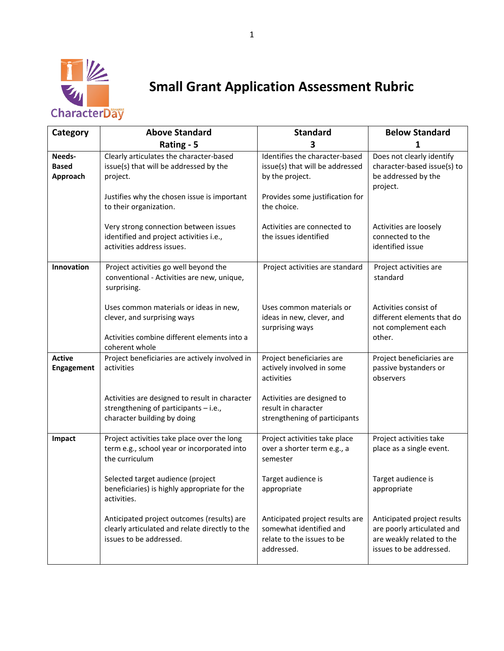

## **Small Grant Application Assessment Rubric**

| Category                           | <b>Above Standard</b>                                                                                                                   | <b>Standard</b>                                                                                        | <b>Below Standard</b>                                                                                             |
|------------------------------------|-----------------------------------------------------------------------------------------------------------------------------------------|--------------------------------------------------------------------------------------------------------|-------------------------------------------------------------------------------------------------------------------|
|                                    | Rating - 5                                                                                                                              |                                                                                                        |                                                                                                                   |
| Needs-<br><b>Based</b><br>Approach | Clearly articulates the character-based<br>issue(s) that will be addressed by the<br>project.                                           | Identifies the character-based<br>issue(s) that will be addressed<br>by the project.                   | Does not clearly identify<br>character-based issue(s) to<br>be addressed by the<br>project.                       |
|                                    | Justifies why the chosen issue is important<br>to their organization.                                                                   | Provides some justification for<br>the choice.                                                         |                                                                                                                   |
|                                    | Very strong connection between issues<br>identified and project activities i.e.,<br>activities address issues.                          | Activities are connected to<br>the issues identified                                                   | Activities are loosely<br>connected to the<br>identified issue                                                    |
| Innovation                         | Project activities go well beyond the<br>conventional - Activities are new, unique,<br>surprising.                                      | Project activities are standard                                                                        | Project activities are<br>standard                                                                                |
|                                    | Uses common materials or ideas in new,<br>clever, and surprising ways<br>Activities combine different elements into a<br>coherent whole | Uses common materials or<br>ideas in new, clever, and<br>surprising ways                               | Activities consist of<br>different elements that do<br>not complement each<br>other.                              |
| <b>Active</b><br><b>Engagement</b> | Project beneficiaries are actively involved in<br>activities                                                                            | Project beneficiaries are<br>actively involved in some<br>activities                                   | Project beneficiaries are<br>passive bystanders or<br>observers                                                   |
|                                    | Activities are designed to result in character<br>strengthening of participants - i.e.,<br>character building by doing                  | Activities are designed to<br>result in character<br>strengthening of participants                     |                                                                                                                   |
| Impact                             | Project activities take place over the long<br>term e.g., school year or incorporated into<br>the curriculum                            | Project activities take place<br>over a shorter term e.g., a<br>semester                               | Project activities take<br>place as a single event.                                                               |
|                                    | Selected target audience (project<br>beneficiaries) is highly appropriate for the<br>activities.                                        | Target audience is<br>appropriate                                                                      | Target audience is<br>appropriate                                                                                 |
|                                    | Anticipated project outcomes (results) are<br>clearly articulated and relate directly to the<br>issues to be addressed.                 | Anticipated project results are<br>somewhat identified and<br>relate to the issues to be<br>addressed. | Anticipated project results<br>are poorly articulated and<br>are weakly related to the<br>issues to be addressed. |